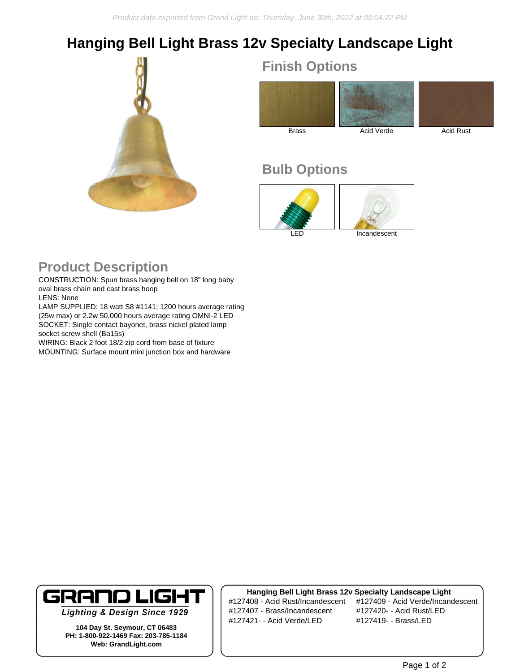## **Hanging Bell Light Brass 12v Specialty Landscape Light**



**Finish Options**



## **Bulb Options**



## **Product Description**

CONSTRUCTION: Spun brass hanging bell on 18" long baby oval brass chain and cast brass hoop LENS: None

LAMP SUPPLIED: 18 watt S8 #1141; 1200 hours average rating (25w max) or 2.2w 50,000 hours average rating OMNI-2 LED SOCKET: Single contact bayonet, brass nickel plated lamp socket screw shell (Ba15s)

WIRING: Black 2 foot 18/2 zip cord from base of fixture MOUNTING: Surface mount mini junction box and hardware



**Lighting & Design Since 1929** 

**104 Day St. Seymour, CT 06483 PH: 1-800-922-1469 Fax: 203-785-1184 Web: GrandLight.com**

**Hanging Bell Light Brass 12v Specialty Landscape Light** #127407 - Brass/Incandescent #127420- - Acid Rust/LED #127421- - Acid Verde/LED #127419- - Brass/LED

#127408 - Acid Rust/Incandescent #127409 - Acid Verde/Incandescent